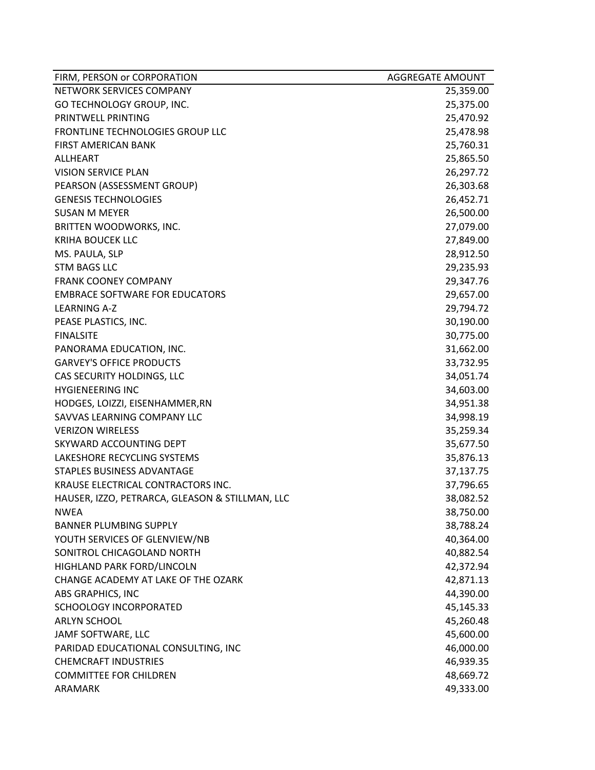| FIRM, PERSON or CORPORATION                     | <b>AGGREGATE AMOUNT</b> |
|-------------------------------------------------|-------------------------|
| NETWORK SERVICES COMPANY                        | 25,359.00               |
| GO TECHNOLOGY GROUP, INC.                       | 25,375.00               |
| PRINTWELL PRINTING                              | 25,470.92               |
| FRONTLINE TECHNOLOGIES GROUP LLC                | 25,478.98               |
| <b>FIRST AMERICAN BANK</b>                      | 25,760.31               |
| <b>ALLHEART</b>                                 | 25,865.50               |
| <b>VISION SERVICE PLAN</b>                      | 26,297.72               |
| PEARSON (ASSESSMENT GROUP)                      | 26,303.68               |
| <b>GENESIS TECHNOLOGIES</b>                     | 26,452.71               |
| <b>SUSAN M MEYER</b>                            | 26,500.00               |
| BRITTEN WOODWORKS, INC.                         | 27,079.00               |
| <b>KRIHA BOUCEK LLC</b>                         | 27,849.00               |
| MS. PAULA, SLP                                  | 28,912.50               |
| <b>STM BAGS LLC</b>                             | 29,235.93               |
| <b>FRANK COONEY COMPANY</b>                     | 29,347.76               |
| <b>EMBRACE SOFTWARE FOR EDUCATORS</b>           | 29,657.00               |
| <b>LEARNING A-Z</b>                             | 29,794.72               |
| PEASE PLASTICS, INC.                            | 30,190.00               |
| <b>FINALSITE</b>                                | 30,775.00               |
| PANORAMA EDUCATION, INC.                        | 31,662.00               |
| <b>GARVEY'S OFFICE PRODUCTS</b>                 | 33,732.95               |
| CAS SECURITY HOLDINGS, LLC                      | 34,051.74               |
| <b>HYGIENEERING INC</b>                         | 34,603.00               |
| HODGES, LOIZZI, EISENHAMMER, RN                 | 34,951.38               |
| SAVVAS LEARNING COMPANY LLC                     | 34,998.19               |
| <b>VERIZON WIRELESS</b>                         | 35,259.34               |
| SKYWARD ACCOUNTING DEPT                         | 35,677.50               |
| LAKESHORE RECYCLING SYSTEMS                     | 35,876.13               |
| STAPLES BUSINESS ADVANTAGE                      | 37,137.75               |
| KRAUSE ELECTRICAL CONTRACTORS INC.              | 37,796.65               |
| HAUSER, IZZO, PETRARCA, GLEASON & STILLMAN, LLC | 38,082.52               |
| <b>NWEA</b>                                     | 38,750.00               |
| <b>BANNER PLUMBING SUPPLY</b>                   | 38,788.24               |
| YOUTH SERVICES OF GLENVIEW/NB                   | 40,364.00               |
| SONITROL CHICAGOLAND NORTH                      | 40,882.54               |
| HIGHLAND PARK FORD/LINCOLN                      | 42,372.94               |
| CHANGE ACADEMY AT LAKE OF THE OZARK             | 42,871.13               |
| ABS GRAPHICS, INC                               | 44,390.00               |
| <b>SCHOOLOGY INCORPORATED</b>                   | 45,145.33               |
| <b>ARLYN SCHOOL</b>                             | 45,260.48               |
| JAMF SOFTWARE, LLC                              | 45,600.00               |
| PARIDAD EDUCATIONAL CONSULTING, INC             | 46,000.00               |
| <b>CHEMCRAFT INDUSTRIES</b>                     | 46,939.35               |
| <b>COMMITTEE FOR CHILDREN</b>                   | 48,669.72               |
| ARAMARK                                         | 49,333.00               |